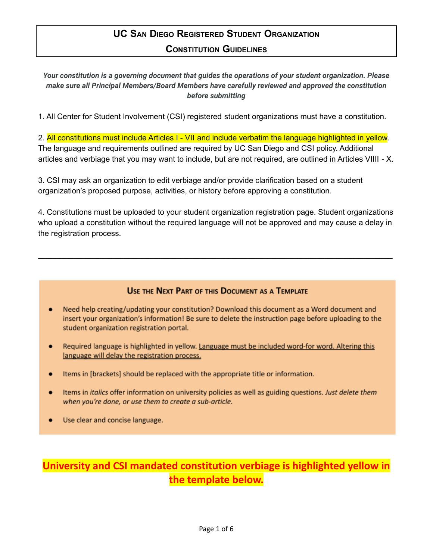# **UC SAN DIEGO REGISTERED STUDENT ORGANIZATION CONSTITUTION GUIDELINES**

*Your constitution is a governing document that guides the operations of your student organization. Please make sure all Principal Members/Board Members have carefully reviewed and approved the constitution before submitting*

1. All Center for Student Involvement (CSI) registered student organizations must have a constitution.

2. All constitutions must include Articles I - VII and include verbatim the language highlighted in yellow. The language and requirements outlined are required by UC San Diego and CSI policy. Additional articles and verbiage that you may want to include, but are not required, are outlined in Articles VIIII - X.

3. CSI may ask an organization to edit verbiage and/or provide clarification based on a student organization's proposed purpose, activities, or history before approving a constitution.

4. Constitutions must be uploaded to your student organization registration page. Student organizations who upload a constitution without the required language will not be approved and may cause a delay in the registration process.

\_\_\_\_\_\_\_\_\_\_\_\_\_\_\_\_\_\_\_\_\_\_\_\_\_\_\_\_\_\_\_\_\_\_\_\_\_\_\_\_\_\_\_\_\_\_\_\_\_\_\_\_\_\_\_\_\_\_\_\_\_\_\_\_\_\_\_\_\_\_\_\_\_\_\_\_\_\_\_\_\_\_

# USE THE NEXT PART OF THIS DOCUMENT AS A TEMPLATE

- Need help creating/updating your constitution? Download this document as a Word document and ٠ insert your organization's information! Be sure to delete the instruction page before uploading to the student organization registration portal.
- Required language is highlighted in yellow. Language must be included word-for word. Altering this  $\bullet$ language will delay the registration process.
- Items in [brackets] should be replaced with the appropriate title or information.  $\bullet$
- Items in *italics* offer information on university policies as well as guiding questions. Just delete them  $\bullet$ when you're done, or use them to create a sub-article.
- Use clear and concise language.  $\bullet$

# **University and CSI mandated constitution verbiage is highlighted yellow in the template below.**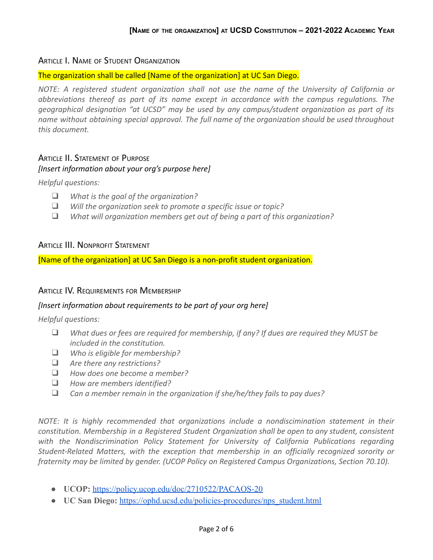## ARTICLE I. NAME OF STUDENT ORGANIZATION

#### The organization shall be called [Name of the organization] at UC San Diego.

*NOTE: A registered student organization shall not use the name of the University of California or abbreviations thereof as part of its name except in accordance with the campus regulations. The geographical designation "at UCSD" may be used by any campus/student organization as part of its name without obtaining special approval. The full name of the organization should be used throughout this document.*

## ARTICLE II. STATEMENT OF PURPOSE *[Insert information about your org's purpose here]*

*Helpful questions:*

- ❑ *What is the goal of the organization?*
- ❑ *Will the organization seek to promote a specific issue or topic?*
- ❑ *What will organization members get out of being a part of this organization?*

#### ARTICLE III. NONPROFIT STATEMENT

[Name of the organization] at UC San Diego is a non-profit student organization.

#### ARTICLE IV. REQUIREMENTS FOR MEMBERSHIP

#### *[Insert information about requirements to be part of your org here]*

*Helpful questions:*

- ❑ *What dues or fees are required for membership, if any? If dues are required they MUST be included in the constitution.*
- ❑ *Who is eligible for membership?*
- ❑ *Are there any restrictions?*
- ❑ *How does one become a member?*
- ❑ *How are members identified?*
- ❑ *Can a member remain in the organization if she/he/they fails to pay dues?*

*NOTE: It is highly recommended that organizations include a nondiscimination statement in their constitution. Membership in a Registered Student Organization shall be open to any student, consistent with the Nondiscrimination Policy Statement for University of California Publications regarding Student-Related Matters, with the exception that membership in an officially recognized sorority or fraternity may be limited by gender. (UCOP Policy on Registered Campus Organizations, Section 70.10).*

- **UCOP:** <https://policy.ucop.edu/doc/2710522/PACAOS-20>
- **UC San Diego:** [https://ophd.ucsd.edu/policies-procedures/nps\\_student.html](https://ophd.ucsd.edu/policies-procedures/nps_student.html)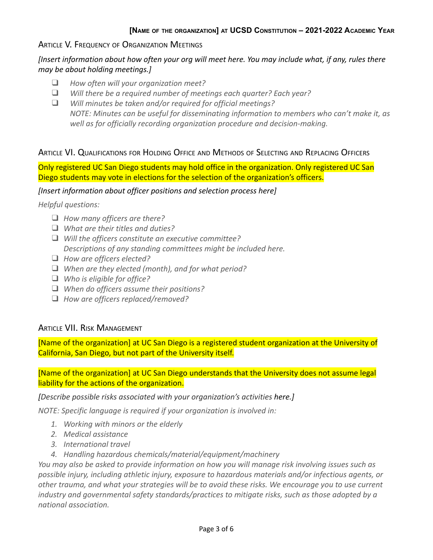# ARTICLE V. FREQUENCY OF ORGANIZATION MEETINGS

*[Insert information about how often your org will meet here. You may include what, if any, rules there may be about holding meetings.]*

- ❑ *How often will your organization meet?*
- ❑ *Will there be a required number of meetings each quarter? Each year?*

❑ *Will minutes be taken and/or required for official meetings? NOTE: Minutes can be useful for disseminating information to members who can't make it, as well as for officially recording organization procedure and decision-making.*

# ARTICLE VI. QUALIFICATIONS FOR HOLDING OFFICE AND METHODS OF SELECTING AND REPLACING OFFICERS

Only registered UC San Diego students may hold office in the organization. Only registered UC San Diego students may vote in elections for the selection of the organization's officers.

*[Insert information about officer positions and selection process here]*

*Helpful questions:*

- ❑ *How many officers are there?*
- ❑ *What are their titles and duties?*
- ❑ *Will the officers constitute an executive committee? Descriptions of any standing committees might be included here.*
- ❑ *How are officers elected?*
- ❑ *When are they elected (month), and for what period?*
- ❑ *Who is eligible for office?*
- ❑ *When do officers assume their positions?*
- ❑ *How are officers replaced/removed?*

## ARTICLE VII. RISK MANAGEMENT

[Name of the organization] at UC San Diego is a registered student organization at the University of California, San Diego, but not part of the University itself.

[Name of the organization] at UC San Diego understands that the University does not assume legal liability for the actions of the organization.

*[Describe possible risks associated with your organization's activities here.]*

*NOTE: Specific language is required if your organization is involved in:*

- *1. Working with minors or the elderly*
- *2. Medical assistance*
- *3. International travel*
- *4. Handling hazardous chemicals/material/equipment/machinery*

*You may also be asked to provide information on how you will manage risk involving issues such as possible injury, including athletic injury, exposure to hazardous materials and/or infectious agents, or other trauma, and what your strategies will be to avoid these risks. We encourage you to use current industry and governmental safety standards/practices to mitigate risks, such as those adopted by a national association.*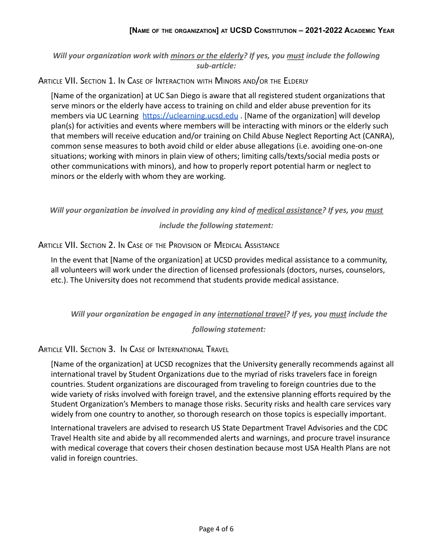*Will your organization work with minors or the elderly? If yes, you must include the following sub-article:*

ARTICLE VII. SECTION 1. IN CASE OF INTERACTION WITH MINORS AND/OR THE ELDERLY

[Name of the organization] at UC San Diego is aware that all registered student organizations that serve minors or the elderly have access to training on child and elder abuse prevention for its members via UC Learning <https://uclearning.ucsd.edu> . [Name of the organization] will develop plan(s) for activities and events where members will be interacting with minors or the elderly such that members will receive education and/or training on Child Abuse Neglect Reporting Act (CANRA), common sense measures to both avoid child or elder abuse allegations (i.e. avoiding one-on-one situations; working with minors in plain view of others; limiting calls/texts/social media posts or other communications with minors), and how to properly report potential harm or neglect to minors or the elderly with whom they are working.

*Will your organization be involved in providing any kind of medical assistance? If yes, you must include the following statement:*

ARTICLE VII. SECTION 2. IN CASE OF THE PROVISION OF MEDICAL ASSISTANCE

In the event that [Name of the organization] at UCSD provides medical assistance to a community, all volunteers will work under the direction of licensed professionals (doctors, nurses, counselors, etc.). The University does not recommend that students provide medical assistance.

*Will your organization be engaged in any international travel? If yes, you must include the*

*following statement:*

ARTICLE VII. SECTION 3. IN CASE OF INTERNATIONAL TRAVEL

[Name of the organization] at UCSD recognizes that the University generally recommends against all international travel by Student Organizations due to the myriad of risks travelers face in foreign countries. Student organizations are discouraged from traveling to foreign countries due to the wide variety of risks involved with foreign travel, and the extensive planning efforts required by the Student Organization's Members to manage those risks. Security risks and health care services vary widely from one country to another, so thorough research on those topics is especially important.

International travelers are advised to research US State Department Travel Advisories and the CDC Travel Health site and abide by all recommended alerts and warnings, and procure travel insurance with medical coverage that covers their chosen destination because most USA Health Plans are not valid in foreign countries.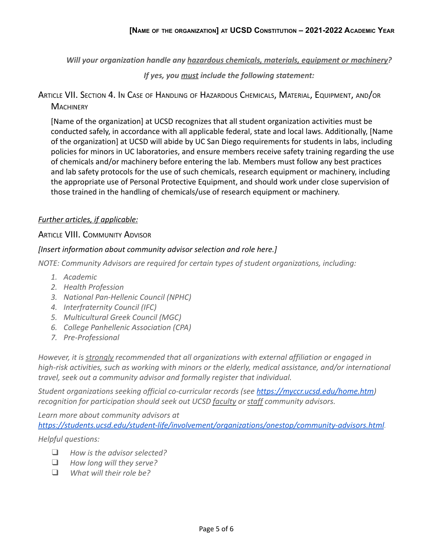*Will your organization handle any hazardous chemicals, materials, equipment or machinery?*

*If yes, you must include the following statement:*

ARTICLE VII. SECTION 4. I<sup>N</sup> CASE OF HANDLING OF HAZARDOUS CHEMICALS, MATERIAL, EQUIPMENT, AND/OR **MACHINERY** 

[Name of the organization] at UCSD recognizes that all student organization activities must be conducted safely, in accordance with all applicable federal, state and local laws. Additionally, [Name of the organization] at UCSD will abide by UC San Diego requirements for students in labs, including policies for minors in UC laboratories, and ensure members receive safety training regarding the use of chemicals and/or machinery before entering the lab. Members must follow any best practices and lab safety protocols for the use of such chemicals, research equipment or machinery, including the appropriate use of Personal Protective Equipment, and should work under close supervision of those trained in the handling of chemicals/use of research equipment or machinery.

## *Further articles, if applicable:*

## **ARTICLE VIII. COMMUNITY ADVISOR**

## *[Insert information about community advisor selection and role here.]*

*NOTE: Community Advisors are required for certain types of student organizations, including:*

- *1. Academic*
- *2. Health Profession*
- *3. National Pan-Hellenic Council (NPHC)*
- *4. Interfraternity Council (IFC)*
- *5. Multicultural Greek Council (MGC)*
- *6. College Panhellenic Association (CPA)*
- *7. Pre-Professional*

*However, it is strongly recommended that all organizations with external affiliation or engaged in high-risk activities, such as working with minors or the elderly, medical assistance, and/or international travel, seek out a community advisor and formally register that individual.*

*Student organizations seeking official co-curricular records (see [https://myccr.ucsd.edu/home.htm\)](https://myccr.ucsd.edu/home.htm) recognition for participation should seek out UCSD faculty or staff community advisors.*

*Learn more about community advisors at <https://students.ucsd.edu/student-life/involvement/organizations/onestop/community-advisors.html>.*

#### *Helpful questions:*

- ❑ *How is the advisor selected?*
- ❑ *How long will they serve?*
- ❑ *What will their role be?*